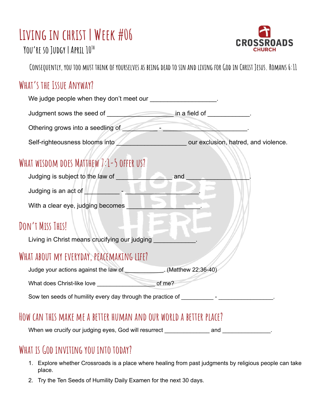# **Living in christ | Week #06**



**You're so Judgy | April 10 th**

CONSEQUENTLY, YOU TOO MUST THINK OF YOURSELVES AS BEING DEAD TO SIN AND LIVING FOR GOD IN CHRIST JESUS. ROMANS 6:11

#### **What's the Issue Anyway?**

| We judge people when they don't meet our ____________________.                                                                                                                                                                       |                                                                                                                                                                                                                                      |
|--------------------------------------------------------------------------------------------------------------------------------------------------------------------------------------------------------------------------------------|--------------------------------------------------------------------------------------------------------------------------------------------------------------------------------------------------------------------------------------|
| Judgment sows the seed of __________________________ in a field of ____________.                                                                                                                                                     |                                                                                                                                                                                                                                      |
|                                                                                                                                                                                                                                      |                                                                                                                                                                                                                                      |
|                                                                                                                                                                                                                                      | Self-righteousness blooms into <b>the contract of the contract of the contract of the contract of the contract of the contract of the contract of the contract of the contract of the contract of the contract of the contract o</b> |
| WHAT WISDOM DOES MATTHEW 7:1-5 OFFER US?                                                                                                                                                                                             |                                                                                                                                                                                                                                      |
|                                                                                                                                                                                                                                      |                                                                                                                                                                                                                                      |
| Judging is an act of <b>NAME AND THE READ OF STATE AND THE READ OF STATE AND THE READ OF STATE AND THE READ OF STATE AND THE READ OF STATE AND THE READ OF STATE AND THE READ OF STATE AND THE READ OF STATE AND THE READ OF STA</b> |                                                                                                                                                                                                                                      |
| With a clear eye, judging becomes ____                                                                                                                                                                                               |                                                                                                                                                                                                                                      |
| DON'T MISS THIS!                                                                                                                                                                                                                     |                                                                                                                                                                                                                                      |
| Living in Christ means crucifying our judging                                                                                                                                                                                        |                                                                                                                                                                                                                                      |
| WHAT ABOUT MY EVERYDAY, PEACEMAKING LIFE?                                                                                                                                                                                            |                                                                                                                                                                                                                                      |
| Judge your actions against the law of ______________. (Matthew 22:36-40)                                                                                                                                                             |                                                                                                                                                                                                                                      |
|                                                                                                                                                                                                                                      |                                                                                                                                                                                                                                      |
| Sow ten seeds of humility every day through the practice of ___________- - _______________.                                                                                                                                          |                                                                                                                                                                                                                                      |
| HOW CAN THIS MAKE ME A BETTER HUMAN AND OUR WORLD A BETTER PLACE?                                                                                                                                                                    |                                                                                                                                                                                                                                      |
| When we crucify our judging eyes, God will resurrect                                                                                                                                                                                 | and                                                                                                                                                                                                                                  |

### **What isGod inviting you into today?**

- 1. Explore whether Crossroads is a place where healing from past judgments by religious people can take place.
- 2. Try the Ten Seeds of Humility Daily Examen for the next 30 days.